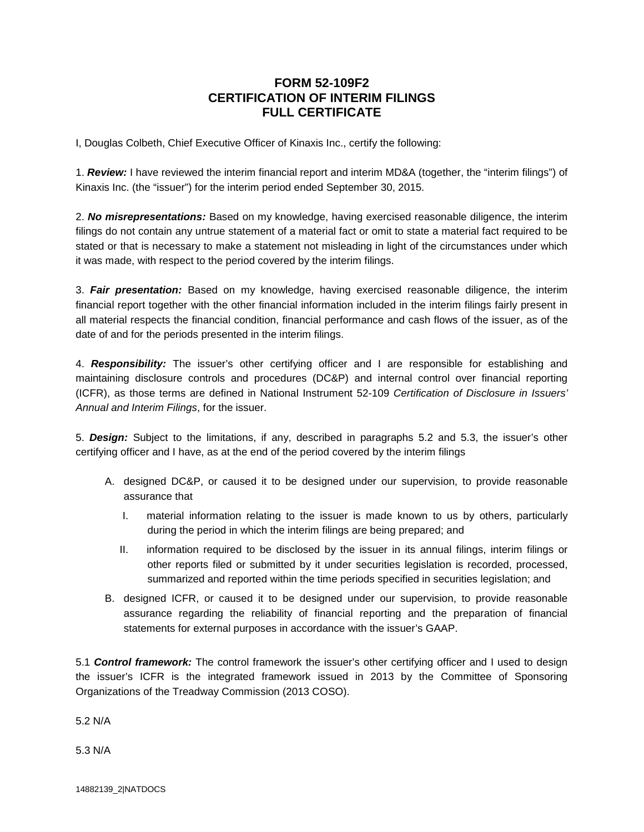## **FORM 52-109F2 CERTIFICATION OF INTERIM FILINGS FULL CERTIFICATE**

I, Douglas Colbeth, Chief Executive Officer of Kinaxis Inc., certify the following:

1. *Review:* I have reviewed the interim financial report and interim MD&A (together, the "interim filings") of Kinaxis Inc. (the "issuer") for the interim period ended September 30, 2015.

2. *No misrepresentations:* Based on my knowledge, having exercised reasonable diligence, the interim filings do not contain any untrue statement of a material fact or omit to state a material fact required to be stated or that is necessary to make a statement not misleading in light of the circumstances under which it was made, with respect to the period covered by the interim filings.

3. *Fair presentation:* Based on my knowledge, having exercised reasonable diligence, the interim financial report together with the other financial information included in the interim filings fairly present in all material respects the financial condition, financial performance and cash flows of the issuer, as of the date of and for the periods presented in the interim filings.

4. *Responsibility:* The issuer's other certifying officer and I are responsible for establishing and maintaining disclosure controls and procedures (DC&P) and internal control over financial reporting (ICFR), as those terms are defined in National Instrument 52-109 *Certification of Disclosure in Issuers' Annual and Interim Filings*, for the issuer.

5. *Design:* Subject to the limitations, if any, described in paragraphs 5.2 and 5.3, the issuer's other certifying officer and I have, as at the end of the period covered by the interim filings

- A. designed DC&P, or caused it to be designed under our supervision, to provide reasonable assurance that
	- I. material information relating to the issuer is made known to us by others, particularly during the period in which the interim filings are being prepared; and
	- II. information required to be disclosed by the issuer in its annual filings, interim filings or other reports filed or submitted by it under securities legislation is recorded, processed, summarized and reported within the time periods specified in securities legislation; and
- B. designed ICFR, or caused it to be designed under our supervision, to provide reasonable assurance regarding the reliability of financial reporting and the preparation of financial statements for external purposes in accordance with the issuer's GAAP.

5.1 *Control framework:* The control framework the issuer's other certifying officer and I used to design the issuer's ICFR is the integrated framework issued in 2013 by the Committee of Sponsoring Organizations of the Treadway Commission (2013 COSO).

5.2 N/A

5.3 N/A